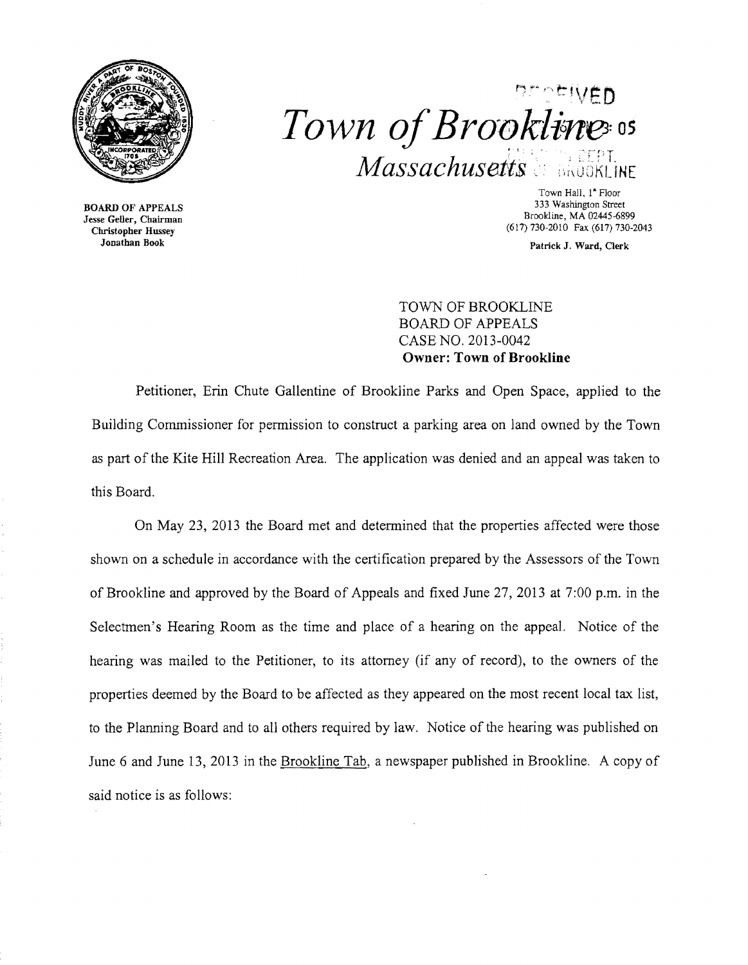



BOARD OF APPEALS Jesse Geller, Cbairman Christopher Hussey Jonathan Book

Town Hall, I' Floor 333 Washington Street Brookline, MA 02445-6899 (617) 730-2010 Fax (617) 730-2043

Patrick J. Ward, Clerk

TOWN OF BROOKLINE BOARD OF APPEALS CASE NO. 2013-0042 Owner: Town of Brookline

Petitioner, Erin Chute Gallentine of Brookline Parks and Open Space, applied to the Building Commissioner for permission to construct a parking area on land owned by the Town as part of the Kite Hill Recreation Area. The application was denied and an appeal was taken to this Board.

On May 23, 2013 the Board met and determined that the properties affected were those shown on a schedule in accordance with the certification prepared by the Assessors of the Town of Brookline and approved by the Board of Appeals and fixed June 27,2013 at 7:00 p.m. in the Selectmen's Hearing Room as the time and place of a hearing on the appeal. Notice of the hearing was mailed to the Petitioner, to its attorney (if any of record), to the owners of the properties deemed by the Board to be affected as they appeared on the most recent local tax list, to the Planning Board and to all others required by law. Notice of the hearing was published on June 6 and June 13,2013 in the Brookline Tab, a newspaper published in Brookline. A copy of said notice is as follows: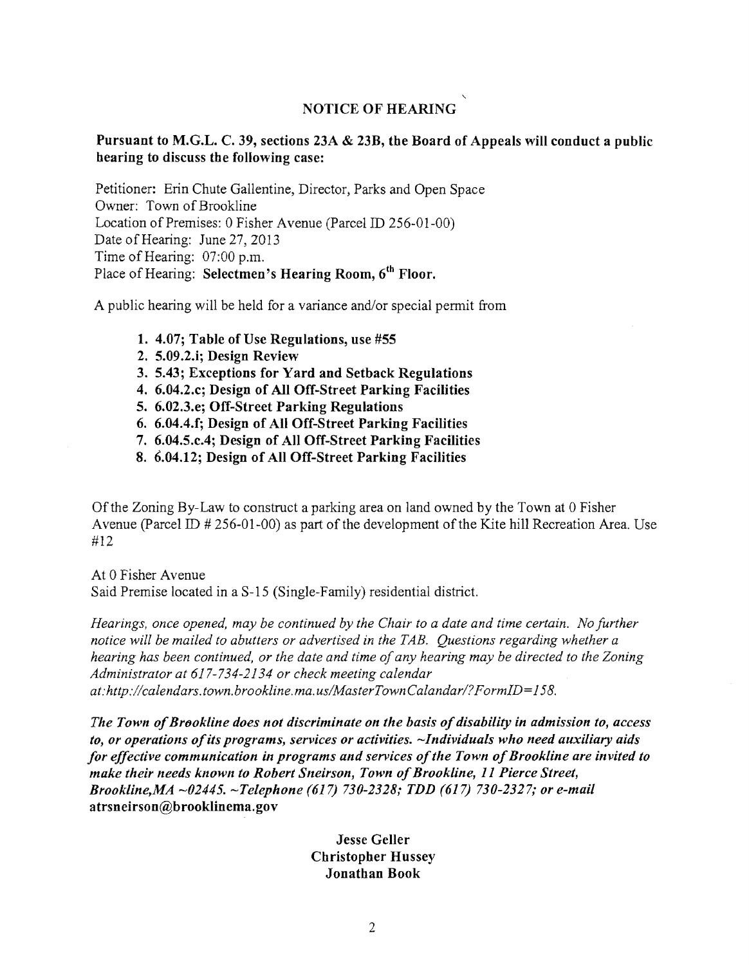## NOTICE OF HEARING

## Pursuant to M.G.L. C. 39, sections 23A & 23B, tbe Board of Appeals will conduct a public bearing to discuss tbe following case:

Petitioner: Erin Chute Gallentine, Director, Parks and Open Space Owner: Town of Brookline Location of Premises: 0 Fisher Avenue (Parcel ID 256-01-00) Date of Hearing: June 27, 2013 Time of Hearing: 07:00 p.m. Place of Hearing: Selectmen's Hearing Room,  $6<sup>th</sup>$  Floor.

A public hearing will be held for a variance and/or special permit from

- 1. 4.07; Table of Use Regulations, use #55
- 2. 5.09.2.i; Design Review
- 3. 5.43; Exceptions for Yard and Setback Regulations
- 4. 6.04.2.c; Design of All Off-Street Parking Facilities
- 5. 6.02.3.e; Off-Street Parking Regulations
- 6. 6.04.4.f; Design of All Off-Street Parking Facilities
- 7. 6.04.5.c.4; Design of All Off-Street Parking Facilities
- 8. 6.04.12; Design of All Off-Street Parking Facilities

Of the Zoning By-Law to construct a parking area on land owned by the Town at 0 Fisher Avenue (parcel ID # 256-01-00) as part of the development of the Kite hill Recreation Area. Use #12

At 0 Fisher Avenue Said Premise located in a S-15 (Single-Family) residential district.

*Hearings, once opened, may be continued by the Chair to a date and time certain. No further notice will be mailed to abutters or advertised in the TAB. Questions regarding whether a hearing has been continued, or the date and time of any hearing may be directed to the Zoning Administrator at* 617-734-2134 *or check meeting calendar at: http://calendars.town.brookline.ma.usIMasterTownCalandarl? F ormlD=* 158.

*The Town of Brookline does not discriminate on the basis of disability in admission to, access to, or operations ofits programs, services or activities.* ~Individuals *who need auxiliary aids for effective communication in programs and services ofthe Town ofBrookline are invited to make their needs known to Robert Sneirson, Town of Brookline, 11 Pierce Street, Brookline,MA* ~02445. *Telephone* (617) *730-2328,' TDD* (617) *730-2327; or e-mail*  atrsneirson@brooklinema.gov

## Jesse Geller Cbristopber Hussey Jonatban Book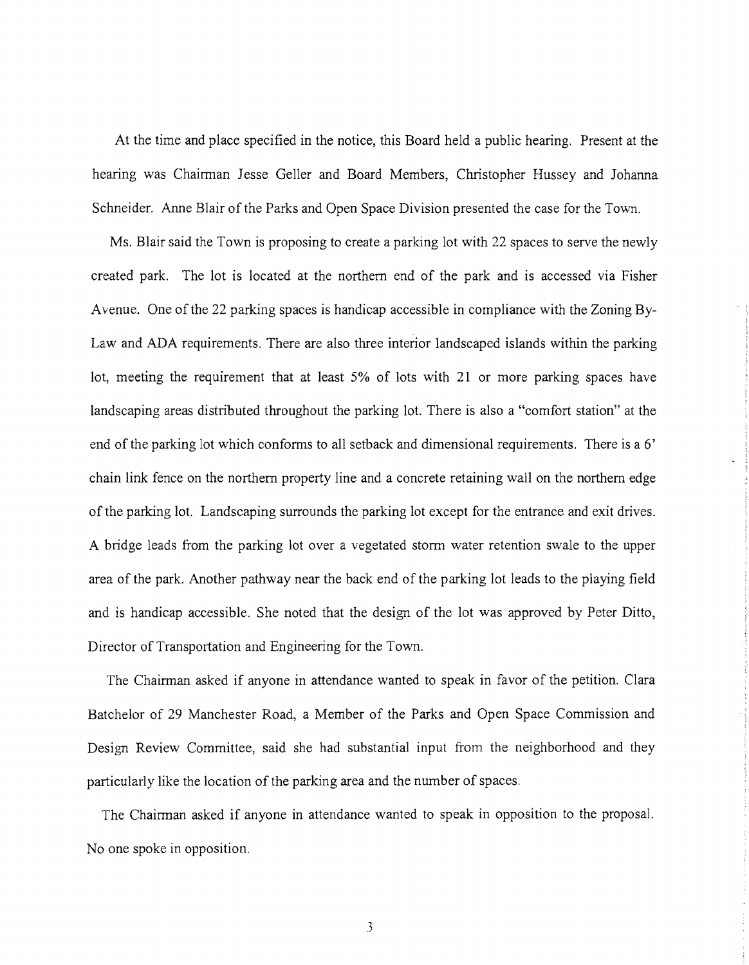At the time and place specified in the notice, this Board held a public hearing. Present at the hearing was Chairman Jesse Geller and Board Members, Christopher Hussey and Johanna Schneider. Anne Blair of the Parks and Open Space Division presented the case for the Town.

Ms. Blair said the Town is proposing to create a parking lot with 22 spaces to serve the newly created park. The lot is located at the northern end of the park and is accessed via Fisher Avenue. One of the 22 parking spaces is handicap accessible in compliance with the Zoning By-Law and ADA requirements. There are also three interior landscaped islands within the parking lot, meeting the requirement that at least 5% of lots with 21 or more parking spaces have landscaping areas distributed throughout the parking lot. There is also a "comfort station" at the end of the parking lot which conforms to all setback and dimensional requirements. There is a 6' chain link fence on the northern property line and a concrete retaining wall on the northern edge of the parking lot. Landscaping surrounds the parking lot except for the entrance and exit drives. A bridge leads from the parking lot over a vegetated storm water retention swale to the upper area of the park. Another pathway near the back end of the parking lot leads to the playing field and is handicap accessible. She noted that the design of the lot was approved by Peter Ditto, Director of Transportation and Engineering for the Town.

The Chairman asked if anyone in attendance wanted to speak in favor of the petition. Clara Batchelor of 29 Manchester Road, a Member of the Parks and Open Space Commission and Design Review Committee, said she had substantial input from the neighborhood and they particularly like the location of the parking area and the number of spaces.

The Chairman asked if anyone in attendance wanted to speak in opposition to the proposal. No one spoke in opposition.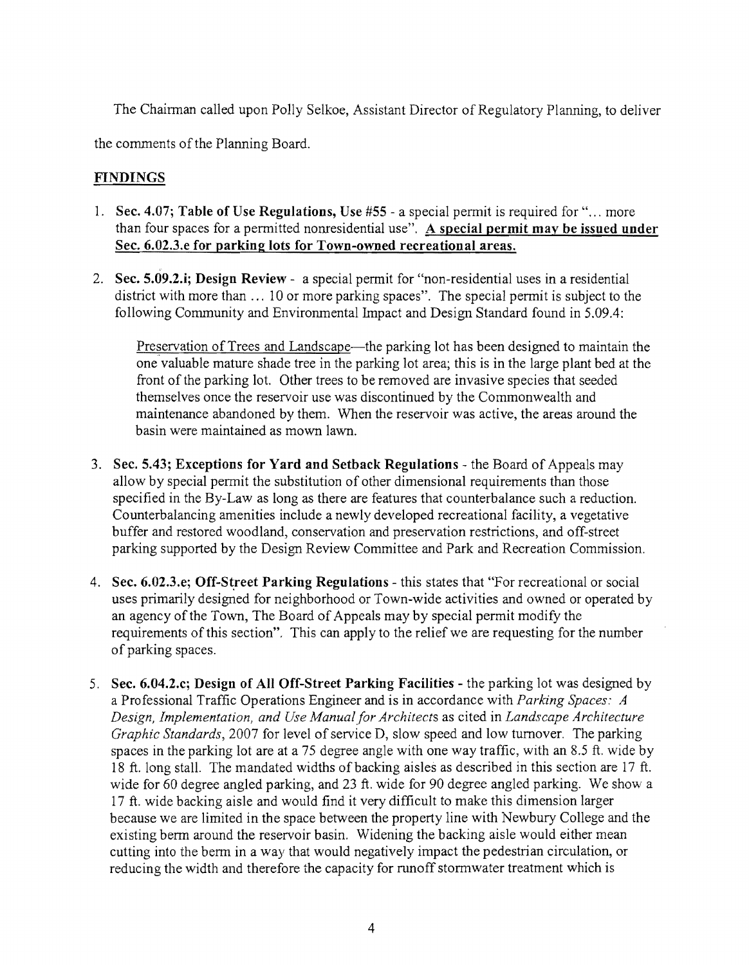The Chairman called upon Polly Selkoe, Assistant Director of Regulatory Planning, to deliver

the comments of the Planning Board.

## FINDINGS

- 1. Sec. 4.07; Table of Use Regulations, Use #55 a special permit is required for "... more than four spaces for a permitted nonresidential use". A special permit may be issued under Sec. 6.02.3.e for parking lots for Town-owned recreational areas.
- 2. Sec. 5.09.2.i; Design Review a special permit for "non-residential uses in a residential district with more than ... 10 or more parking spaces". The special permit is subject to the following Community and Environmental Impact and Design Standard found in 5.09.4:

Preservation of Trees and Landscape—the parking lot has been designed to maintain the one valuable mature shade tree in the parking lot area; this is in the large plant bed at the front of the parking lot. Other trees to be removed are invasive species that seeded themselves once the reservoir use was discontinued by the Commonwealth and maintenance abandoned by them. When the reservoir was active, the areas around the basin were maintained as mown lawn.

- 3. Sec. 5.43; Exceptions for Yard and Setback Regulations the Board of Appeals may allow by special permit the substitution of other dimensional requirements than those specified in the By-Law as long as there are features that counterbalance such a reduction. Counterbalancing amenities include a newly developed recreational facility, a vegetative buffer and restored woodland, conservation and preservation restrictions, and off-street parking supported by the Design Review Committee and Park and Recreation Commission.
- 4. Sec. 6.02.3.e; Off-Street Parking Regulations this states that "For recreational or social uses primarily designed for neighborhood or Town-wide activities and owned or operated by an agency of the Town, The Board of Appeals may by special permit modify the requirements of this section". This can apply to the relief we are requesting for the number of parking spaces.
- 5. Sec. 6.04.2.c; Design of All Off-Street Parking Facilities the parking lot was designed by a Professional Traffic Operations Engineer and is in accordance with *Parking Spaces: A Design, Implementation, and Use Manual for Architects* as cited in *Landscape Architecture Graphic Standards, 2007* for level of service D, slow speed and low turnover. The parking spaces in the parking lot are at a 75 degree angle with one way traffic, with an 8.5 ft. wide by 18 ft. long stall. The mandated widths of backing aisles as described in this section are 17 ft. wide for 60 degree angled parking, and 23 ft. wide for 90 degree angled parking. We show a 17 ft. wide backing aisle and would find it very difficult to make this dimension larger because we are limited in the space between the property line with Newbury College and the existing berm around the reservoir basin. Widening the backing aisle would either mean cutting into the berm in a way that would negatively impact the pedestrian circulation, or reducing the width and therefore the capacity for runoff stormwater treatment which is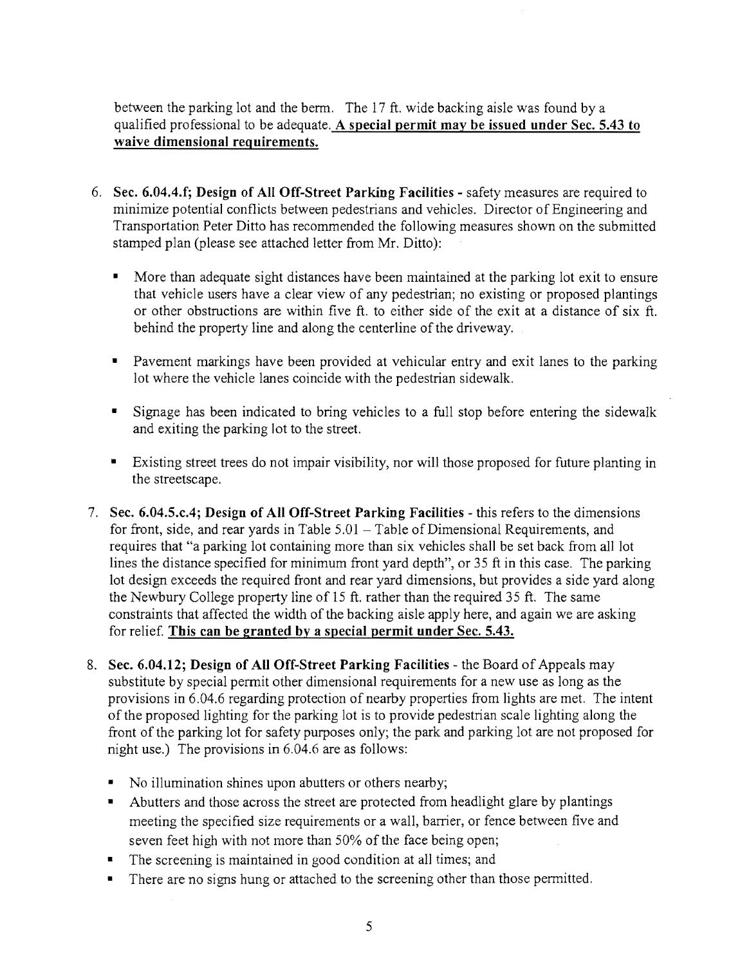between the parking lot and the berm. The  $17$  ft. wide backing aisle was found by a qualified professional to be adequate. A special permit may be issued under Sec. 5.43 to waive dimensional requirements.

- 6. Sec. 6.04.4.f; Design of All Off-Street Parking Facilities safety measures are required to minimize potential conflicts between pedestrians and vehicles. Director of Engineering and Transportation Peter Ditto has recommended the following measures shown on the submitted stamped plan (please see attached letter from Mr. Ditto):
	- More than adequate sight distances have been maintained at the parking lot exit to ensure that vehicle users have a clear view of any pedestrian; no existing or proposed plantings or other obstructions are within five ft. to either side of the exit at a distance of six ft. behind the property line and along the centerline of the driveway.
	- Pavement markings have been provided at vehicular entry and exit lanes to the parking lot where the vehicle lanes coincide with the pedestrian sidewalk.
	- Signage has been indicated to bring vehicles to a full stop before entering the sidewalk and exiting the parking lot to the street.
	- Existing street trees do not impair visibility, nor will those proposed for future planting in the streetscape.
- 7. Sec. 6.04.5.c.4; Design of All Off-Street Parking Facilities this refers to the dimensions for front, side, and rear yards in Table  $5.01$  – Table of Dimensional Requirements, and requires that "a parking lot containing more than six vehicles shall be set back from all lot lines the distance specified for minimum front yard depth", or 35 ft in this case. The parking lot design exceeds the required front and rear yard dimensions, but provides a side yard along the Newbury College property line of 15 ft. rather than the required 35 ft. The same constraints that affected the width of the backing aisle apply here, and again we are asking for relief. This can be granted bv a special permit under Sec. 5.43.
- 8. Sec. 6.04.12; Design of All Off-Street Parking Facilities the Board of Appeals may substitute by special permit other dimensional requirements for a new use as long as the provisions in 6.04.6 regarding protection of nearby properties from lights are met. The intent of the proposed lighting for the parking lot is to provide pedestrian scale lighting along the front of the parking lot for safety purposes only; the park and parking lot are not proposed for night use.) The provisions in 6.04.6 are as follows:
	- No illumination shines upon abutters or others nearby;
	- Abutters and those across the street are protected from headlight glare by plantings meeting the specified size requirements or a wall, barrier, or fence between five and seven feet high with not more than 50% of the face being open;
	- $\blacksquare$  The screening is maintained in good condition at all times; and
	- There are no signs hung or attached to the screening other than those permitted.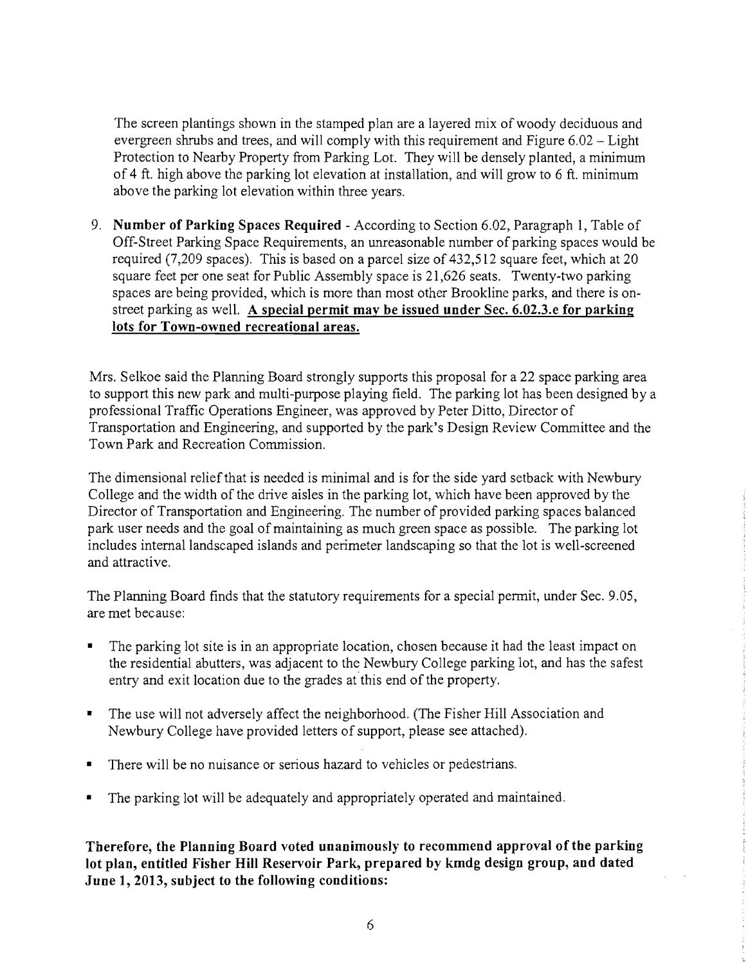The screen plantings shown in the stamped plan are a layered mix of woody deciduous and evergreen shrubs and trees, and will comply with this requirement and Figure  $6.02 -$  Light Protection to Nearby Property from Parking Lot. They will be densely planted, a minimum of 4 ft. high above the parking lot elevation at installation, and will grow to 6 ft. minimum above the parking lot elevation within three years.

9. **Number of Parking Spaces Required** - According to Section 6.02, Paragraph 1, Table of Off-Street Parking Space Requirements, an unreasonable number of parking spaces would be required (7,209 spaces). This is based on a parcel size of 432,512 square feet, which at 20 square feet per one seat for Public Assembly space is 21,626 seats. Twenty-two parking spaces are being provided, which is more than most other Brookline parks, and there is onstreet parking as well. **A special permit may be issued under Sec. 6.02.3.e for parking lots for Town-owned recreational areas.** 

Mrs. Selkoe said the Planning Board strongly supports this proposal for a 22 space parking area to support this new park and mUlti-purpose playing field. The parking lot has been designed by a professional Traffic Operations Engineer, was approved by Peter Ditto, Director of Transportation and Engineering, and supported by the park's Design Review Committee and the Town Park and Recreation Commission.

The dimensional relief that is needed is minimal and is for the side yard setback with Newbury College and the width of the drive aisles in the parking lot, which have been approved by the Director of Transportation and Engineering. The number of provided parking spaces balanced park user needs and the goal of maintaining as much green space as possible. The parking lot includes internal landscaped islands and perimeter landscaping so that the lot is well-screened and attractive.

The Planning Board finds that the statutory requirements for a special permit, under Sec. 9.05, are met because:

- The parking lot site is in an appropriate location, chosen because it had the least impact on the residential abutters, was adjacent to the Newbury College parking lot, and has the safest entry and exit location due to the grades at this end of the property.
- The use will not adversely affect the neighborhood. (The Fisher Hill Association and Newbury College have provided letters of support, please see attached).
- There will be no nuisance or serious hazard to vehicles or pedestrians.
- The parking lot will be adequately and appropriately operated and maintained.

**Therefore, the Planning Board voted unanimously to recommend approval of tbe parking lot plan, entitled Fisher Hill Reservoir Park, prepared by kmdg design group, and dated June 1,2013, subject to the following conditions:**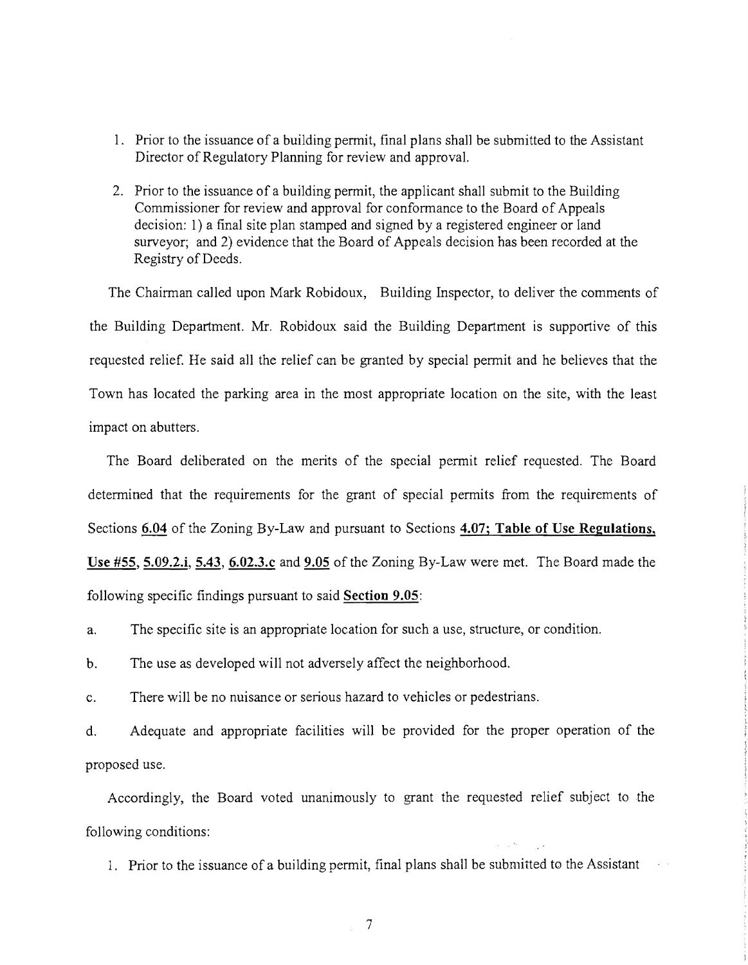- 1. Prior to the issuance of a building permit, final plans shall be submitted to the Assistant Director of Regulatory Planning for review and approval.
- 2. Prior to the issuance of a building permit, the applicant shall submit to the Building Commissioner for review and approval for conformance to the Board of Appeals decision: I) a final site plan stamped and signed by a registered engineer or land surveyor; and 2) evidence that the Board of Appeals decision has been recorded at the Registry of Deeds.

The Chairman called upon Mark Robidoux, Building Inspector, to deliver the comments of the Building Department. Mr. Robidoux said the Building Department is supportive of this requested relief. He said all the relief can be granted by special pennit and he believes that the Town has located the parking area in the most appropriate location on the site, with the least impact on abutters.

The Board deliberated on the merits of the special pennit relief requested. The Board determined that the requirements for the grant of special permits from the requirements of Sections 6.04 of the Zoning By-Law and pursuant to Sections 4.07; Table of Use Regulations, Use #55, 5.09.2.i, 5.43, 6.02.3.c and 9.05 of the Zoning By-Law were met. The Board made the

following specific findings pursuant to said Section 9.05:

a. The specific site is an appropriate location for such a use, structure, or condition.

b. The use as developed will not adversely affect the neighborhood.

c. There will be no nuisance or serious hazard to vehicles or pedestrians.

d. Adequate and appropriate facilities will be provided for the proper operation of the proposed use.

Accordingly, the Board voted unanimously to grant the requested relief subject to the following conditions:

1. Prior to the issuance of a building permit, final plans shall be submitted to the Assistant